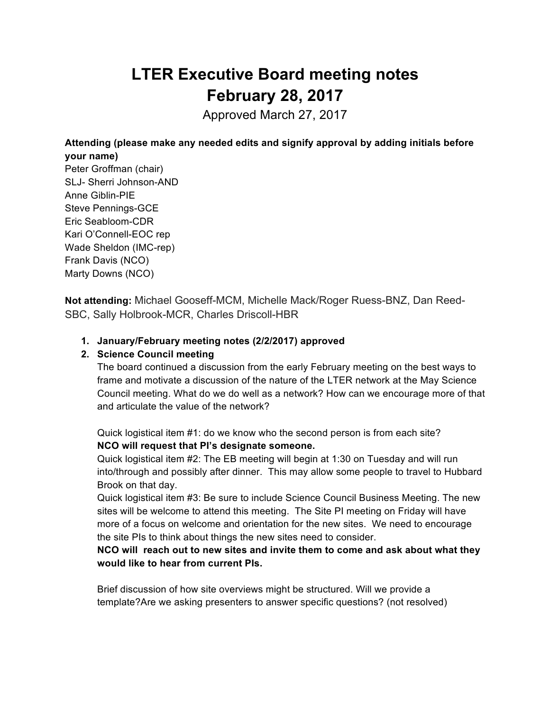# **LTER Executive Board meeting notes February 28, 2017**

Approved March 27, 2017

**Attending (please make any needed edits and signify approval by adding initials before your name)**

Peter Groffman (chair) SLJ- Sherri Johnson-AND Anne Giblin-PIE Steve Pennings-GCE Eric Seabloom-CDR Kari O'Connell-EOC rep Wade Sheldon (IMC-rep) Frank Davis (NCO) Marty Downs (NCO)

**Not attending:** Michael Gooseff-MCM, Michelle Mack/Roger Ruess-BNZ, Dan Reed-SBC, Sally Holbrook-MCR, Charles Driscoll-HBR

# **1. January/February meeting notes (2/2/2017) approved**

### **2. Science Council meeting**

The board continued a discussion from the early February meeting on the best ways to frame and motivate a discussion of the nature of the LTER network at the May Science Council meeting. What do we do well as a network? How can we encourage more of that and articulate the value of the network?

Quick logistical item #1: do we know who the second person is from each site? **NCO will request that PI's designate someone.**

Quick logistical item #2: The EB meeting will begin at 1:30 on Tuesday and will run into/through and possibly after dinner. This may allow some people to travel to Hubbard Brook on that day.

Quick logistical item #3: Be sure to include Science Council Business Meeting. The new sites will be welcome to attend this meeting. The Site PI meeting on Friday will have more of a focus on welcome and orientation for the new sites. We need to encourage the site PIs to think about things the new sites need to consider.

**NCO will reach out to new sites and invite them to come and ask about what they would like to hear from current PIs.**

Brief discussion of how site overviews might be structured. Will we provide a template?Are we asking presenters to answer specific questions? (not resolved)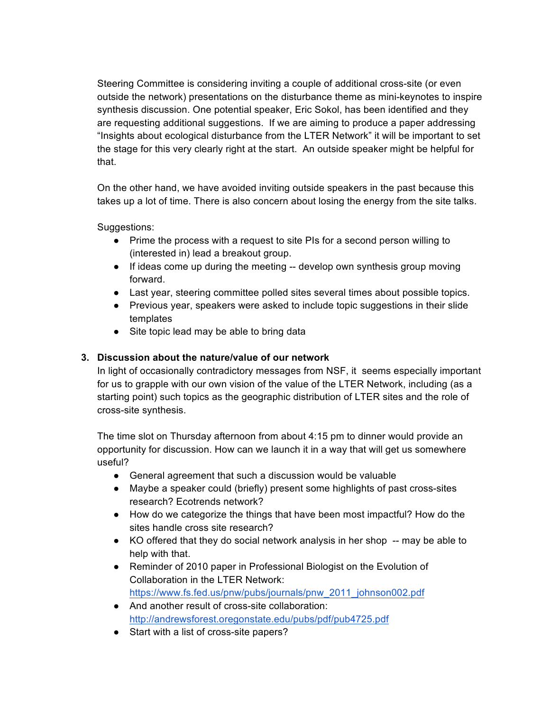Steering Committee is considering inviting a couple of additional cross-site (or even outside the network) presentations on the disturbance theme as mini-keynotes to inspire synthesis discussion. One potential speaker, Eric Sokol, has been identified and they are requesting additional suggestions. If we are aiming to produce a paper addressing "Insights about ecological disturbance from the LTER Network" it will be important to set the stage for this very clearly right at the start. An outside speaker might be helpful for that.

On the other hand, we have avoided inviting outside speakers in the past because this takes up a lot of time. There is also concern about losing the energy from the site talks.

Suggestions:

- Prime the process with a request to site PIs for a second person willing to (interested in) lead a breakout group.
- If ideas come up during the meeting -- develop own synthesis group moving forward.
- Last year, steering committee polled sites several times about possible topics.
- Previous year, speakers were asked to include topic suggestions in their slide templates
- Site topic lead may be able to bring data

#### **3. Discussion about the nature/value of our network**

In light of occasionally contradictory messages from NSF, it seems especially important for us to grapple with our own vision of the value of the LTER Network, including (as a starting point) such topics as the geographic distribution of LTER sites and the role of cross-site synthesis.

The time slot on Thursday afternoon from about 4:15 pm to dinner would provide an opportunity for discussion. How can we launch it in a way that will get us somewhere useful?

- General agreement that such a discussion would be valuable
- Maybe a speaker could (briefly) present some highlights of past cross-sites research? Ecotrends network?
- How do we categorize the things that have been most impactful? How do the sites handle cross site research?
- KO offered that they do social network analysis in her shop -- may be able to help with that.
- Reminder of 2010 paper in Professional Biologist on the Evolution of Collaboration in the LTER Network: https://www.fs.fed.us/pnw/pubs/journals/pnw\_2011\_johnson002.pdf
- And another result of cross-site collaboration: http://andrewsforest.oregonstate.edu/pubs/pdf/pub4725.pdf
- Start with a list of cross-site papers?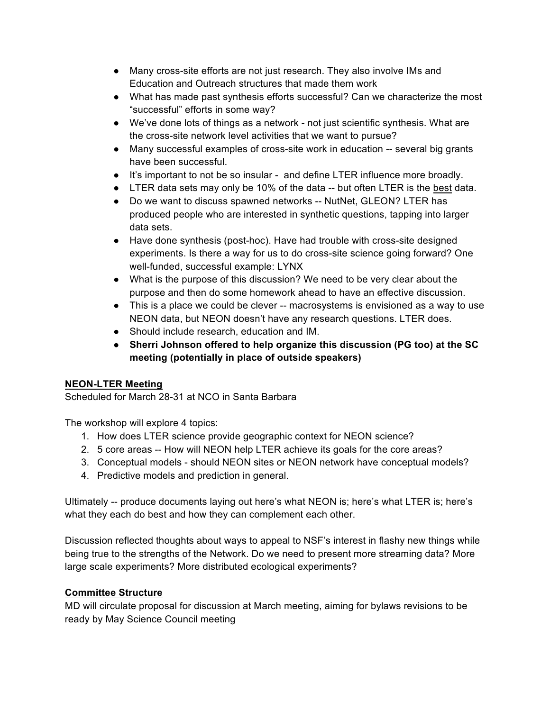- Many cross-site efforts are not just research. They also involve IMs and Education and Outreach structures that made them work
- What has made past synthesis efforts successful? Can we characterize the most "successful" efforts in some way?
- We've done lots of things as a network not just scientific synthesis. What are the cross-site network level activities that we want to pursue?
- Many successful examples of cross-site work in education -- several big grants have been successful.
- It's important to not be so insular and define LTER influence more broadly.
- LTER data sets may only be 10% of the data -- but often LTER is the best data.
- Do we want to discuss spawned networks -- NutNet, GLEON? LTER has produced people who are interested in synthetic questions, tapping into larger data sets.
- Have done synthesis (post-hoc). Have had trouble with cross-site designed experiments. Is there a way for us to do cross-site science going forward? One well-funded, successful example: LYNX
- What is the purpose of this discussion? We need to be very clear about the purpose and then do some homework ahead to have an effective discussion.
- This is a place we could be clever -- macrosystems is envisioned as a way to use NEON data, but NEON doesn't have any research questions. LTER does.
- Should include research, education and IM.
- **Sherri Johnson offered to help organize this discussion (PG too) at the SC meeting (potentially in place of outside speakers)**

# **NEON-LTER Meeting**

Scheduled for March 28-31 at NCO in Santa Barbara

The workshop will explore 4 topics:

- 1. How does LTER science provide geographic context for NEON science?
- 2. 5 core areas -- How will NEON help LTER achieve its goals for the core areas?
- 3. Conceptual models should NEON sites or NEON network have conceptual models?
- 4. Predictive models and prediction in general.

Ultimately -- produce documents laying out here's what NEON is; here's what LTER is; here's what they each do best and how they can complement each other.

Discussion reflected thoughts about ways to appeal to NSF's interest in flashy new things while being true to the strengths of the Network. Do we need to present more streaming data? More large scale experiments? More distributed ecological experiments?

# **Committee Structure**

MD will circulate proposal for discussion at March meeting, aiming for bylaws revisions to be ready by May Science Council meeting